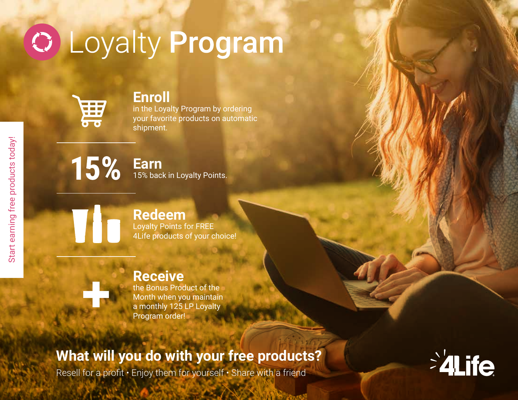# **O Loyalty Program**



#### **Enroll**

in the Loyalty Program by ordering your favorite products on automatic shipment.



**Earn** 15% back in Loyalty Points.

## **Redeem**

Loyalty Points for FREE 4Life products of your choice!

## **Receive**

the Bonus Product of the Month when you maintain a monthly 125 LP Loyalty Program order!

## **What will you do with your free products?**

Resell for a profit  $\cdot$  Enjoy them for yourself  $\cdot$  Share with a friend